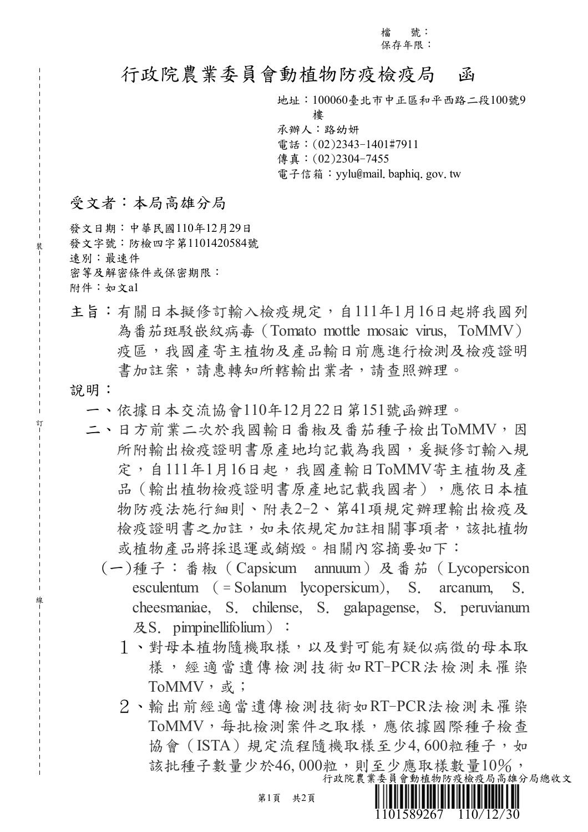檔 號: 保存年限:

## 行政院農業委員會動植物防疫檢疫局 函

地址:100060臺北市中正區和平西路二段100號9

樓

承辦人:路幼妍 電話:(02)2343-1401#7911 傳真:(02)2304-7455 電子信箱: yylu@mail. baphiq. gov. tw

## 受文者:本局高雄分局

發文日期:中華民國110年12月29日 發文字號:防檢四字第1101420584號 速別:最速件 密等及解密條件或保密期限: 附件:如文a1

主旨:有關日本擬修訂輸入檢疫規定,自111年1月16日起將我國列 為番茄斑駁嵌紋病毒(Tomato mottle mosaic virus, ToMMV) 疫區,我國產寄主植物及產品輸日前應進行檢測及檢疫證明 書加註案,請惠轉知所轄輸出業者,請查照辦理。

## 說明:

裝

訂

線

- 一、依據日本交流協會110年12月22日第151號函辦理。
- 二、日方前業二次於我國輸日番椒及番茄種子檢出ToMMV,因 所附輸出檢疫證明書原產地均記載為我國,爰擬修訂輸入規 定,自111年1月16日起,我國產輸日ToMMV寄主植物及產 品(輸出植物檢疫證明書原產地記載我國者),應依日本植 物防疫法施行細則、附表2-2、第41項規定辦理輸出檢疫及 檢疫證明書之加註,如未依規定加註相關事項者,該批植物 或植物產品將採退運或銷燬。相關內容摘要如下:
	- (一)種子:番椒(Capsicum annuum)及番茄(Lycopersicon esculentum ( = Solanum lycopersicum), S. arcanum, S. cheesmaniae, S. chilense, S. galapagense, S. peruvianum 及S. pimpinellifolium):
		- 1、對母本植物隨機取樣,以及對可能有疑似病徵的母本取 樣,經適當遺傳檢測技術如RT-PCR法檢測未罹染 ToMMV, 或;
		- 2、輸出前經適當遺傳檢測技術如RT-PCR法檢測未罹染 ToMMV,每批檢測案件之取樣,應依據國際種子檢查 協會(ISTA)規定流程隨機取樣至少4,600粒種子,如 該批種子數量少於46,000粒,則至少應取樣數量10%,

1101589267 110/12/30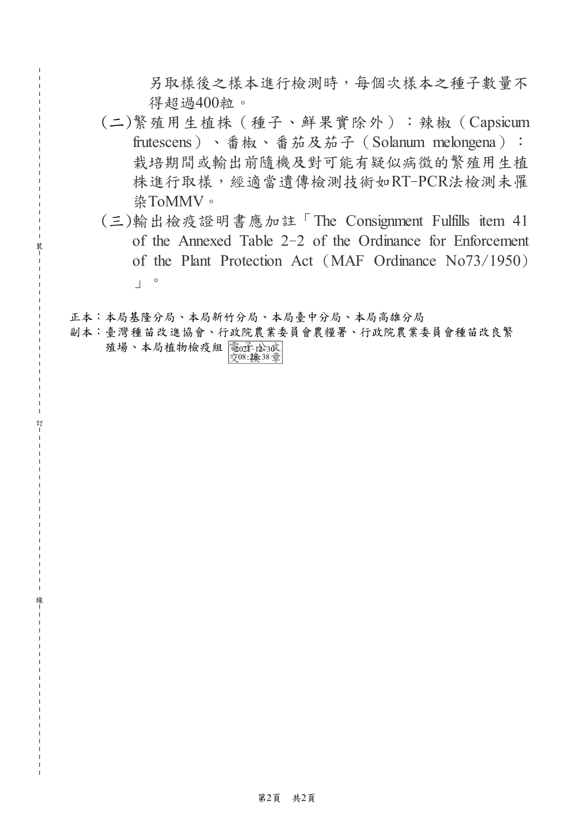另取樣後之樣本進行檢測時,每個次樣本之種子數量不 得超過400粒。

- (二)繁殖用生植株(種子、鮮果實除外):辣椒(Capsicum frutescens)、番椒、番茄及茄子(Solanum melongena): 栽培期間或輸出前隨機及對可能有疑似病徵的繁殖用生植 株進行取樣,經適當遺傳檢測技術如RT-PCR法檢測未罹 染ToMMV。
- (三)輸出檢疫證明書應加註「The Consignment Fulfills item 41 of the Annexed Table 2-2 of the Ordinance for Enforcement of the Plant Protection Act (MAF Ordinance No73/1950)  $\begin{bmatrix} 0 \\ 1 \end{bmatrix}$

正本:本局基隆分局、本局新竹分局、本局臺中分局、本局高雄分局

裝

訂

線

副本:臺灣種苗改進協會、行政院農業委員會農糧署、行政院農業委員會種苗改良繁 殖場、本局植物檢疫組 電匠 检酒 08:28:38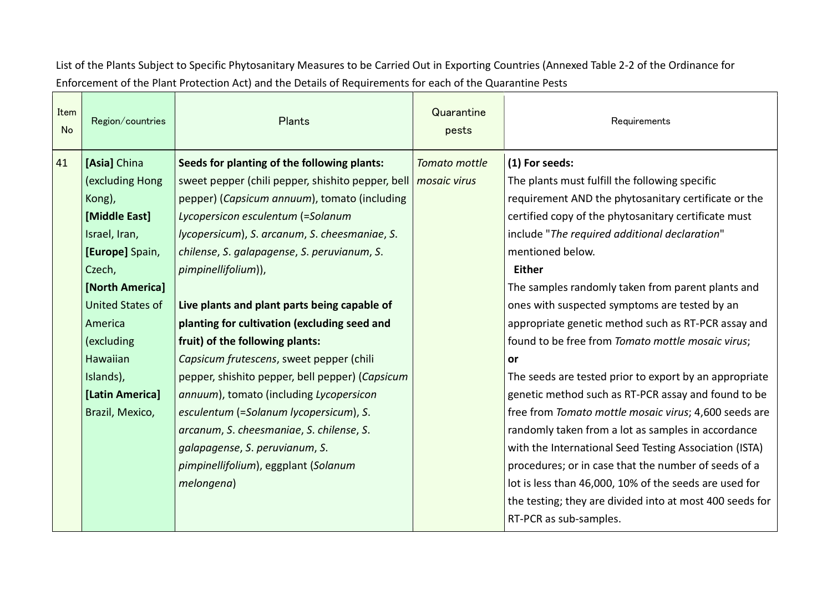List of the Plants Subject to Specific Phytosanitary Measures to be Carried Out in Exporting Countries (Annexed Table 2-2 of the Ordinance for Enforcement of the Plant Protection Act) and the Details of Requirements for each of the Quarantine Pests

| Item<br><b>No</b> | Region/countries                | Plants                                                                                           | Quarantine<br>pests           | Requirements                                                     |
|-------------------|---------------------------------|--------------------------------------------------------------------------------------------------|-------------------------------|------------------------------------------------------------------|
| 41                | [Asia] China<br>(excluding Hong | Seeds for planting of the following plants:<br>sweet pepper (chili pepper, shishito pepper, bell | Tomato mottle<br>mosaic virus | (1) For seeds:<br>The plants must fulfill the following specific |
|                   | Kong),                          | pepper) (Capsicum annuum), tomato (including                                                     |                               | requirement AND the phytosanitary certificate or the             |
|                   | [Middle East]                   | Lycopersicon esculentum (=Solanum                                                                |                               | certified copy of the phytosanitary certificate must             |
|                   | Israel, Iran,                   | lycopersicum), S. arcanum, S. cheesmaniae, S.                                                    |                               | include "The required additional declaration"                    |
|                   | [Europe] Spain,                 | chilense, S. galapagense, S. peruvianum, S.                                                      |                               | mentioned below.                                                 |
|                   | Czech,                          | pimpinellifolium)),                                                                              |                               | <b>Either</b>                                                    |
|                   | [North America]                 |                                                                                                  |                               | The samples randomly taken from parent plants and                |
|                   | <b>United States of</b>         | Live plants and plant parts being capable of                                                     |                               | ones with suspected symptoms are tested by an                    |
|                   | America                         | planting for cultivation (excluding seed and                                                     |                               | appropriate genetic method such as RT-PCR assay and              |
|                   | (excluding                      | fruit) of the following plants:                                                                  |                               | found to be free from Tomato mottle mosaic virus;                |
|                   | Hawaiian                        | Capsicum frutescens, sweet pepper (chili                                                         |                               | <b>or</b>                                                        |
|                   | Islands),                       | pepper, shishito pepper, bell pepper) (Capsicum                                                  |                               | The seeds are tested prior to export by an appropriate           |
|                   | [Latin America]                 | annuum), tomato (including Lycopersicon                                                          |                               | genetic method such as RT-PCR assay and found to be              |
|                   | Brazil, Mexico,                 | esculentum (=Solanum lycopersicum), S.                                                           |                               | free from Tomato mottle mosaic virus; 4,600 seeds are            |
|                   |                                 | arcanum, S. cheesmaniae, S. chilense, S.                                                         |                               | randomly taken from a lot as samples in accordance               |
|                   |                                 | galapagense, S. peruvianum, S.                                                                   |                               | with the International Seed Testing Association (ISTA)           |
|                   |                                 | pimpinellifolium), eggplant (Solanum                                                             |                               | procedures; or in case that the number of seeds of a             |
|                   |                                 | melongena)                                                                                       |                               | lot is less than 46,000, 10% of the seeds are used for           |
|                   |                                 |                                                                                                  |                               | the testing; they are divided into at most 400 seeds for         |
|                   |                                 |                                                                                                  |                               | RT-PCR as sub-samples.                                           |
|                   |                                 |                                                                                                  |                               |                                                                  |